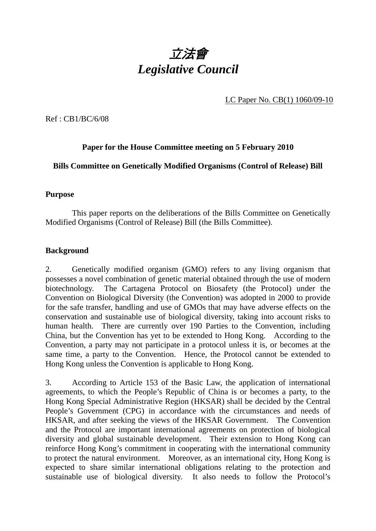

LC Paper No. CB(1) 1060/09-10

Ref : CB1/BC/6/08

# **Paper for the House Committee meeting on 5 February 2010**

**Bills Committee on Genetically Modified Organisms (Control of Release) Bill** 

#### **Purpose**

 This paper reports on the deliberations of the Bills Committee on Genetically Modified Organisms (Control of Release) Bill (the Bills Committee).

## **Background**

2. Genetically modified organism (GMO) refers to any living organism that possesses a novel combination of genetic material obtained through the use of modern biotechnology. The Cartagena Protocol on Biosafety (the Protocol) under the Convention on Biological Diversity (the Convention) was adopted in 2000 to provide for the safe transfer, handling and use of GMOs that may have adverse effects on the conservation and sustainable use of biological diversity, taking into account risks to human health. There are currently over 190 Parties to the Convention, including China, but the Convention has yet to be extended to Hong Kong. According to the Convention, a party may not participate in a protocol unless it is, or becomes at the same time, a party to the Convention. Hence, the Protocol cannot be extended to Hong Kong unless the Convention is applicable to Hong Kong.

3. According to Article 153 of the Basic Law, the application of international agreements, to which the People's Republic of China is or becomes a party, to the Hong Kong Special Administrative Region (HKSAR) shall be decided by the Central People's Government (CPG) in accordance with the circumstances and needs of HKSAR, and after seeking the views of the HKSAR Government. The Convention and the Protocol are important international agreements on protection of biological diversity and global sustainable development. Their extension to Hong Kong can reinforce Hong Kong's commitment in cooperating with the international community to protect the natural environment. Moreover, as an international city, Hong Kong is expected to share similar international obligations relating to the protection and sustainable use of biological diversity. It also needs to follow the Protocol's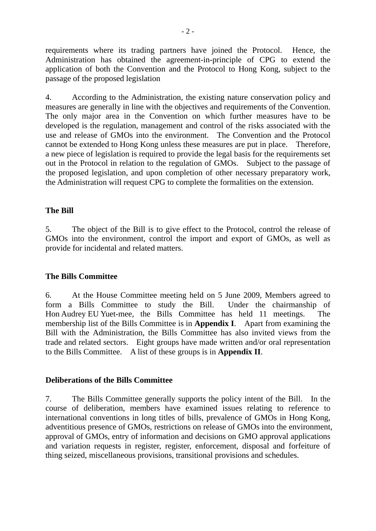requirements where its trading partners have joined the Protocol. Hence, the Administration has obtained the agreement-in-principle of CPG to extend the application of both the Convention and the Protocol to Hong Kong, subject to the passage of the proposed legislation

4. According to the Administration, the existing nature conservation policy and measures are generally in line with the objectives and requirements of the Convention. The only major area in the Convention on which further measures have to be developed is the regulation, management and control of the risks associated with the use and release of GMOs into the environment. The Convention and the Protocol cannot be extended to Hong Kong unless these measures are put in place. Therefore, a new piece of legislation is required to provide the legal basis for the requirements set out in the Protocol in relation to the regulation of GMOs. Subject to the passage of the proposed legislation, and upon completion of other necessary preparatory work, the Administration will request CPG to complete the formalities on the extension.

# **The Bill**

5. The object of the Bill is to give effect to the Protocol, control the release of GMOs into the environment, control the import and export of GMOs, as well as provide for incidental and related matters.

# **The Bills Committee**

6. At the House Committee meeting held on 5 June 2009, Members agreed to form a Bills Committee to study the Bill. Under the chairmanship of Hon Audrey EU Yuet-mee, the Bills Committee has held 11 meetings. The membership list of the Bills Committee is in **Appendix I**. Apart from examining the Bill with the Administration, the Bills Committee has also invited views from the trade and related sectors. Eight groups have made written and/or oral representation to the Bills Committee. A list of these groups is in **Appendix II**.

#### **Deliberations of the Bills Committee**

7. The Bills Committee generally supports the policy intent of the Bill. In the course of deliberation, members have examined issues relating to reference to international conventions in long titles of bills, prevalence of GMOs in Hong Kong, adventitious presence of GMOs, restrictions on release of GMOs into the environment, approval of GMOs, entry of information and decisions on GMO approval applications and variation requests in register, register, enforcement, disposal and forfeiture of thing seized, miscellaneous provisions, transitional provisions and schedules.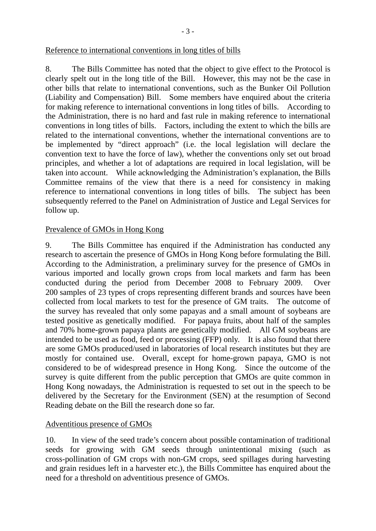8. The Bills Committee has noted that the object to give effect to the Protocol is clearly spelt out in the long title of the Bill. However, this may not be the case in other bills that relate to international conventions, such as the Bunker Oil Pollution (Liability and Compensation) Bill. Some members have enquired about the criteria for making reference to international conventions in long titles of bills. According to the Administration, there is no hard and fast rule in making reference to international conventions in long titles of bills. Factors, including the extent to which the bills are related to the international conventions, whether the international conventions are to be implemented by "direct approach" (i.e. the local legislation will declare the convention text to have the force of law), whether the conventions only set out broad principles, and whether a lot of adaptations are required in local legislation, will be taken into account. While acknowledging the Administration's explanation, the Bills Committee remains of the view that there is a need for consistency in making reference to international conventions in long titles of bills. The subject has been subsequently referred to the Panel on Administration of Justice and Legal Services for follow up.

# Prevalence of GMOs in Hong Kong

9. The Bills Committee has enquired if the Administration has conducted any research to ascertain the presence of GMOs in Hong Kong before formulating the Bill. According to the Administration, a preliminary survey for the presence of GMOs in various imported and locally grown crops from local markets and farm has been conducted during the period from December 2008 to February 2009. Over 200 samples of 23 types of crops representing different brands and sources have been collected from local markets to test for the presence of GM traits. The outcome of the survey has revealed that only some papayas and a small amount of soybeans are tested positive as genetically modified. For papaya fruits, about half of the samples and 70% home-grown papaya plants are genetically modified. All GM soybeans are intended to be used as food, feed or processing (FFP) only. It is also found that there are some GMOs produced/used in laboratories of local research institutes but they are mostly for contained use. Overall, except for home-grown papaya, GMO is not considered to be of widespread presence in Hong Kong. Since the outcome of the survey is quite different from the public perception that GMOs are quite common in Hong Kong nowadays, the Administration is requested to set out in the speech to be delivered by the Secretary for the Environment (SEN) at the resumption of Second Reading debate on the Bill the research done so far.

# Adventitious presence of GMOs

10. In view of the seed trade's concern about possible contamination of traditional seeds for growing with GM seeds through unintentional mixing (such as cross-pollination of GM crops with non-GM crops, seed spillages during harvesting and grain residues left in a harvester etc.), the Bills Committee has enquired about the need for a threshold on adventitious presence of GMOs.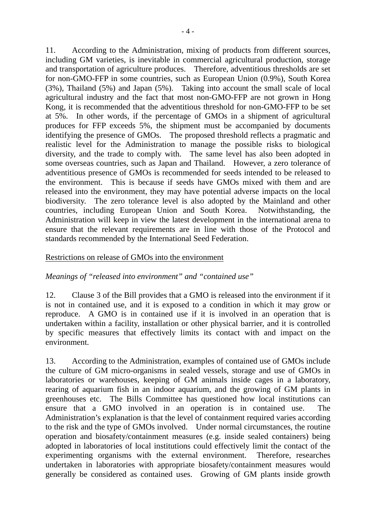11. According to the Administration, mixing of products from different sources, including GM varieties, is inevitable in commercial agricultural production, storage and transportation of agriculture produces. Therefore, adventitious thresholds are set for non-GMO-FFP in some countries, such as European Union (0.9%), South Korea (3%), Thailand (5%) and Japan (5%). Taking into account the small scale of local agricultural industry and the fact that most non-GMO-FFP are not grown in Hong Kong, it is recommended that the adventitious threshold for non-GMO-FFP to be set at 5%. In other words, if the percentage of GMOs in a shipment of agricultural produces for FFP exceeds 5%, the shipment must be accompanied by documents identifying the presence of GMOs. The proposed threshold reflects a pragmatic and realistic level for the Administration to manage the possible risks to biological diversity, and the trade to comply with. The same level has also been adopted in some overseas countries, such as Japan and Thailand. However, a zero tolerance of adventitious presence of GMOs is recommended for seeds intended to be released to the environment. This is because if seeds have GMOs mixed with them and are released into the environment, they may have potential adverse impacts on the local biodiversity. The zero tolerance level is also adopted by the Mainland and other countries, including European Union and South Korea. Notwithstanding, the Administration will keep in view the latest development in the international arena to ensure that the relevant requirements are in line with those of the Protocol and standards recommended by the International Seed Federation.

## Restrictions on release of GMOs into the environment

# *Meanings of "released into environment" and "contained use"*

12. Clause 3 of the Bill provides that a GMO is released into the environment if it is not in contained use, and it is exposed to a condition in which it may grow or reproduce. A GMO is in contained use if it is involved in an operation that is undertaken within a facility, installation or other physical barrier, and it is controlled by specific measures that effectively limits its contact with and impact on the environment.

13. According to the Administration, examples of contained use of GMOs include the culture of GM micro-organisms in sealed vessels, storage and use of GMOs in laboratories or warehouses, keeping of GM animals inside cages in a laboratory, rearing of aquarium fish in an indoor aquarium, and the growing of GM plants in greenhouses etc. The Bills Committee has questioned how local institutions can ensure that a GMO involved in an operation is in contained use. The Administration's explanation is that the level of containment required varies according to the risk and the type of GMOs involved. Under normal circumstances, the routine operation and biosafety/containment measures (e.g. inside sealed containers) being adopted in laboratories of local institutions could effectively limit the contact of the experimenting organisms with the external environment. Therefore, researches undertaken in laboratories with appropriate biosafety/containment measures would generally be considered as contained uses. Growing of GM plants inside growth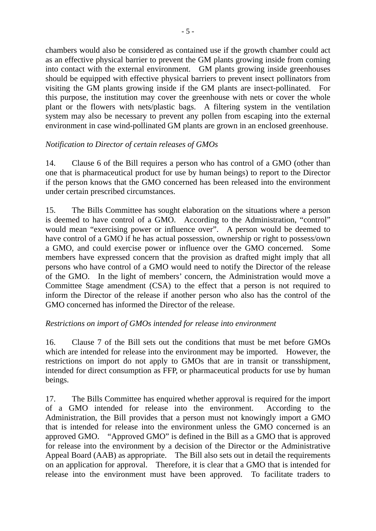chambers would also be considered as contained use if the growth chamber could act as an effective physical barrier to prevent the GM plants growing inside from coming into contact with the external environment. GM plants growing inside greenhouses should be equipped with effective physical barriers to prevent insect pollinators from visiting the GM plants growing inside if the GM plants are insect-pollinated. For this purpose, the institution may cover the greenhouse with nets or cover the whole plant or the flowers with nets/plastic bags. A filtering system in the ventilation system may also be necessary to prevent any pollen from escaping into the external environment in case wind-pollinated GM plants are grown in an enclosed greenhouse.

# *Notification to Director of certain releases of GMOs*

14. Clause 6 of the Bill requires a person who has control of a GMO (other than one that is pharmaceutical product for use by human beings) to report to the Director if the person knows that the GMO concerned has been released into the environment under certain prescribed circumstances.

15. The Bills Committee has sought elaboration on the situations where a person is deemed to have control of a GMO. According to the Administration, "control" would mean "exercising power or influence over". A person would be deemed to have control of a GMO if he has actual possession, ownership or right to possess/own a GMO, and could exercise power or influence over the GMO concerned. Some members have expressed concern that the provision as drafted might imply that all persons who have control of a GMO would need to notify the Director of the release of the GMO. In the light of members' concern, the Administration would move a Committee Stage amendment (CSA) to the effect that a person is not required to inform the Director of the release if another person who also has the control of the GMO concerned has informed the Director of the release.

# *Restrictions on import of GMOs intended for release into environment*

16. Clause 7 of the Bill sets out the conditions that must be met before GMOs which are intended for release into the environment may be imported. However, the restrictions on import do not apply to GMOs that are in transit or transshipment, intended for direct consumption as FFP, or pharmaceutical products for use by human beings.

17. The Bills Committee has enquired whether approval is required for the import of a GMO intended for release into the environment. According to the Administration, the Bill provides that a person must not knowingly import a GMO that is intended for release into the environment unless the GMO concerned is an approved GMO. "Approved GMO" is defined in the Bill as a GMO that is approved for release into the environment by a decision of the Director or the Administrative Appeal Board (AAB) as appropriate. The Bill also sets out in detail the requirements on an application for approval. Therefore, it is clear that a GMO that is intended for release into the environment must have been approved. To facilitate traders to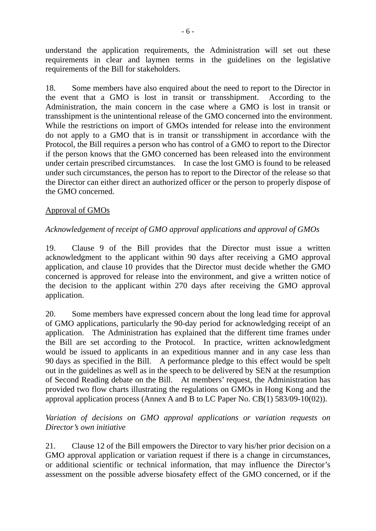understand the application requirements, the Administration will set out these requirements in clear and laymen terms in the guidelines on the legislative requirements of the Bill for stakeholders.

18. Some members have also enquired about the need to report to the Director in the event that a GMO is lost in transit or transshipment. According to the Administration, the main concern in the case where a GMO is lost in transit or transshipment is the unintentional release of the GMO concerned into the environment. While the restrictions on import of GMOs intended for release into the environment do not apply to a GMO that is in transit or transshipment in accordance with the Protocol, the Bill requires a person who has control of a GMO to report to the Director if the person knows that the GMO concerned has been released into the environment under certain prescribed circumstances. In case the lost GMO is found to be released under such circumstances, the person has to report to the Director of the release so that the Director can either direct an authorized officer or the person to properly dispose of the GMO concerned.

# Approval of GMOs

# *Acknowledgement of receipt of GMO approval applications and approval of GMOs*

19. Clause 9 of the Bill provides that the Director must issue a written acknowledgment to the applicant within 90 days after receiving a GMO approval application, and clause 10 provides that the Director must decide whether the GMO concerned is approved for release into the environment, and give a written notice of the decision to the applicant within 270 days after receiving the GMO approval application.

20. Some members have expressed concern about the long lead time for approval of GMO applications, particularly the 90-day period for acknowledging receipt of an application. The Administration has explained that the different time frames under the Bill are set according to the Protocol. In practice, written acknowledgment would be issued to applicants in an expeditious manner and in any case less than 90 days as specified in the Bill. A performance pledge to this effect would be spelt out in the guidelines as well as in the speech to be delivered by SEN at the resumption of Second Reading debate on the Bill. At members' request, the Administration has provided two flow charts illustrating the regulations on GMOs in Hong Kong and the approval application process (Annex A and B to LC Paper No. CB(1) 583/09-10(02)).

# *Variation of decisions on GMO approval applications or variation requests on Director's own initiative*

21. Clause 12 of the Bill empowers the Director to vary his/her prior decision on a GMO approval application or variation request if there is a change in circumstances, or additional scientific or technical information, that may influence the Director's assessment on the possible adverse biosafety effect of the GMO concerned, or if the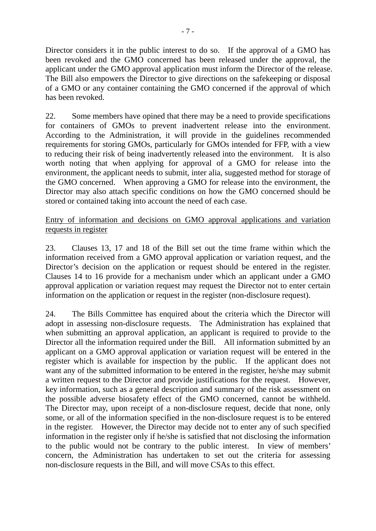Director considers it in the public interest to do so. If the approval of a GMO has been revoked and the GMO concerned has been released under the approval, the applicant under the GMO approval application must inform the Director of the release. The Bill also empowers the Director to give directions on the safekeeping or disposal of a GMO or any container containing the GMO concerned if the approval of which has been revoked.

22. Some members have opined that there may be a need to provide specifications for containers of GMOs to prevent inadvertent release into the environment. According to the Administration, it will provide in the guidelines recommended requirements for storing GMOs, particularly for GMOs intended for FFP, with a view to reducing their risk of being inadvertently released into the environment. It is also worth noting that when applying for approval of a GMO for release into the environment, the applicant needs to submit, inter alia, suggested method for storage of the GMO concerned. When approving a GMO for release into the environment, the Director may also attach specific conditions on how the GMO concerned should be stored or contained taking into account the need of each case.

# Entry of information and decisions on GMO approval applications and variation requests in register

23. Clauses 13, 17 and 18 of the Bill set out the time frame within which the information received from a GMO approval application or variation request, and the Director's decision on the application or request should be entered in the register. Clauses 14 to 16 provide for a mechanism under which an applicant under a GMO approval application or variation request may request the Director not to enter certain information on the application or request in the register (non-disclosure request).

24. The Bills Committee has enquired about the criteria which the Director will adopt in assessing non-disclosure requests. The Administration has explained that when submitting an approval application, an applicant is required to provide to the Director all the information required under the Bill. All information submitted by an applicant on a GMO approval application or variation request will be entered in the register which is available for inspection by the public. If the applicant does not want any of the submitted information to be entered in the register, he/she may submit a written request to the Director and provide justifications for the request. However, key information, such as a general description and summary of the risk assessment on the possible adverse biosafety effect of the GMO concerned, cannot be withheld. The Director may, upon receipt of a non-disclosure request, decide that none, only some, or all of the information specified in the non-disclosure request is to be entered in the register. However, the Director may decide not to enter any of such specified information in the register only if he/she is satisfied that not disclosing the information to the public would not be contrary to the public interest. In view of members' concern, the Administration has undertaken to set out the criteria for assessing non-disclosure requests in the Bill, and will move CSAs to this effect.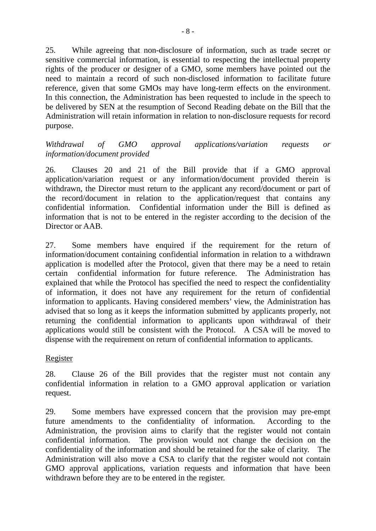25. While agreeing that non-disclosure of information, such as trade secret or sensitive commercial information, is essential to respecting the intellectual property rights of the producer or designer of a GMO, some members have pointed out the need to maintain a record of such non-disclosed information to facilitate future reference, given that some GMOs may have long-term effects on the environment. In this connection, the Administration has been requested to include in the speech to be delivered by SEN at the resumption of Second Reading debate on the Bill that the Administration will retain information in relation to non-disclosure requests for record purpose.

*Withdrawal of GMO approval applications/variation requests or information/document provided* 

26. Clauses 20 and 21 of the Bill provide that if a GMO approval application/variation request or any information/document provided therein is withdrawn, the Director must return to the applicant any record/document or part of the record/document in relation to the application/request that contains any confidential information. Confidential information under the Bill is defined as information that is not to be entered in the register according to the decision of the Director or AAB.

27. Some members have enquired if the requirement for the return of information/document containing confidential information in relation to a withdrawn application is modelled after the Protocol, given that there may be a need to retain certain confidential information for future reference. The Administration has explained that while the Protocol has specified the need to respect the confidentiality of information, it does not have any requirement for the return of confidential information to applicants. Having considered members' view, the Administration has advised that so long as it keeps the information submitted by applicants properly, not returning the confidential information to applicants upon withdrawal of their applications would still be consistent with the Protocol. A CSA will be moved to dispense with the requirement on return of confidential information to applicants.

Register

28. Clause 26 of the Bill provides that the register must not contain any confidential information in relation to a GMO approval application or variation request.

29. Some members have expressed concern that the provision may pre-empt future amendments to the confidentiality of information. According to the Administration, the provision aims to clarify that the register would not contain confidential information. The provision would not change the decision on the confidentiality of the information and should be retained for the sake of clarity. The Administration will also move a CSA to clarify that the register would not contain GMO approval applications, variation requests and information that have been withdrawn before they are to be entered in the register.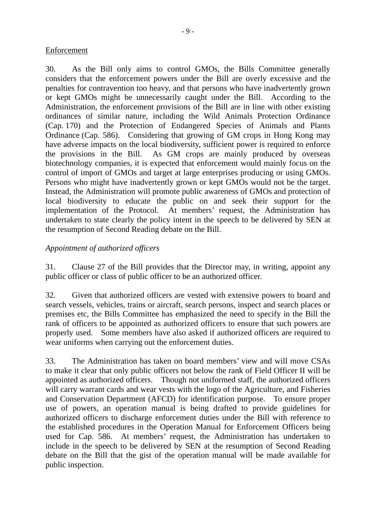# Enforcement

30. As the Bill only aims to control GMOs, the Bills Committee generally considers that the enforcement powers under the Bill are overly excessive and the penalties for contravention too heavy, and that persons who have inadvertently grown or kept GMOs might be unnecessarily caught under the Bill. According to the Administration, the enforcement provisions of the Bill are in line with other existing ordinances of similar nature, including the Wild Animals Protection Ordinance (Cap. 170) and the Protection of Endangered Species of Animals and Plants Ordinance (Cap. 586). Considering that growing of GM crops in Hong Kong may have adverse impacts on the local biodiversity, sufficient power is required to enforce the provisions in the Bill. As GM crops are mainly produced by overseas biotechnology companies, it is expected that enforcement would mainly focus on the control of import of GMOs and target at large enterprises producing or using GMOs. Persons who might have inadvertently grown or kept GMOs would not be the target. Instead, the Administration will promote public awareness of GMOs and protection of local biodiversity to educate the public on and seek their support for the implementation of the Protocol. At members' request, the Administration has undertaken to state clearly the policy intent in the speech to be delivered by SEN at the resumption of Second Reading debate on the Bill.

# *Appointment of authorized officers*

31. Clause 27 of the Bill provides that the Director may, in writing, appoint any public officer or class of public officer to be an authorized officer.

32. Given that authorized officers are vested with extensive powers to board and search vessels, vehicles, trains or aircraft, search persons, inspect and search places or premises etc, the Bills Committee has emphasized the need to specify in the Bill the rank of officers to be appointed as authorized officers to ensure that such powers are properly used. Some members have also asked if authorized officers are required to wear uniforms when carrying out the enforcement duties.

33. The Administration has taken on board members' view and will move CSAs to make it clear that only public officers not below the rank of Field Officer II will be appointed as authorized officers. Though not uniformed staff, the authorized officers will carry warrant cards and wear vests with the logo of the Agriculture, and Fisheries and Conservation Department (AFCD) for identification purpose. To ensure proper use of powers, an operation manual is being drafted to provide guidelines for authorized officers to discharge enforcement duties under the Bill with reference to the established procedures in the Operation Manual for Enforcement Officers being used for Cap. 586. At members' request, the Administration has undertaken to include in the speech to be delivered by SEN at the resumption of Second Reading debate on the Bill that the gist of the operation manual will be made available for public inspection.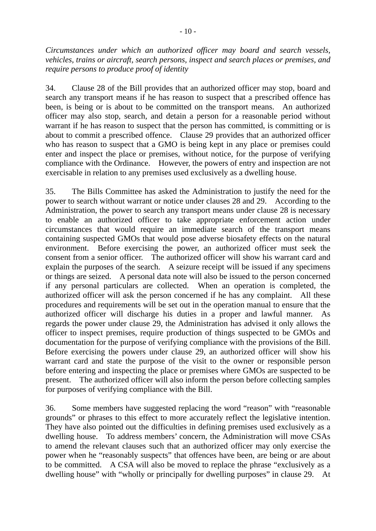*Circumstances under which an authorized officer may board and search vessels, vehicles, trains or aircraft, search persons, inspect and search places or premises, and require persons to produce proof of identity* 

34. Clause 28 of the Bill provides that an authorized officer may stop, board and search any transport means if he has reason to suspect that a prescribed offence has been, is being or is about to be committed on the transport means. An authorized officer may also stop, search, and detain a person for a reasonable period without warrant if he has reason to suspect that the person has committed, is committing or is about to commit a prescribed offence. Clause 29 provides that an authorized officer who has reason to suspect that a GMO is being kept in any place or premises could enter and inspect the place or premises, without notice, for the purpose of verifying compliance with the Ordinance. However, the powers of entry and inspection are not exercisable in relation to any premises used exclusively as a dwelling house.

35. The Bills Committee has asked the Administration to justify the need for the power to search without warrant or notice under clauses 28 and 29. According to the Administration, the power to search any transport means under clause 28 is necessary to enable an authorized officer to take appropriate enforcement action under circumstances that would require an immediate search of the transport means containing suspected GMOs that would pose adverse biosafety effects on the natural environment. Before exercising the power, an authorized officer must seek the consent from a senior officer. The authorized officer will show his warrant card and explain the purposes of the search. A seizure receipt will be issued if any specimens or things are seized. A personal data note will also be issued to the person concerned if any personal particulars are collected. When an operation is completed, the authorized officer will ask the person concerned if he has any complaint. All these procedures and requirements will be set out in the operation manual to ensure that the authorized officer will discharge his duties in a proper and lawful manner. As regards the power under clause 29, the Administration has advised it only allows the officer to inspect premises, require production of things suspected to be GMOs and documentation for the purpose of verifying compliance with the provisions of the Bill. Before exercising the powers under clause 29, an authorized officer will show his warrant card and state the purpose of the visit to the owner or responsible person before entering and inspecting the place or premises where GMOs are suspected to be present. The authorized officer will also inform the person before collecting samples for purposes of verifying compliance with the Bill.

36. Some members have suggested replacing the word "reason" with "reasonable grounds" or phrases to this effect to more accurately reflect the legislative intention. They have also pointed out the difficulties in defining premises used exclusively as a dwelling house. To address members' concern, the Administration will move CSAs to amend the relevant clauses such that an authorized officer may only exercise the power when he "reasonably suspects" that offences have been, are being or are about to be committed. A CSA will also be moved to replace the phrase "exclusively as a dwelling house" with "wholly or principally for dwelling purposes" in clause 29. At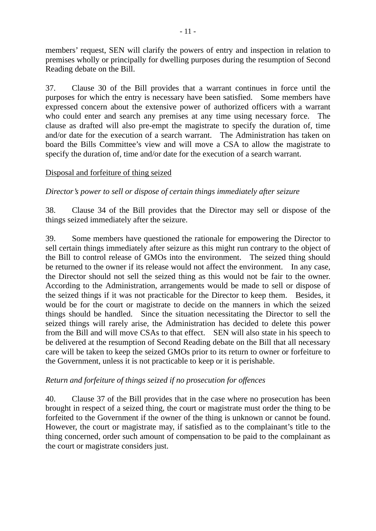members' request, SEN will clarify the powers of entry and inspection in relation to premises wholly or principally for dwelling purposes during the resumption of Second Reading debate on the Bill.

37. Clause 30 of the Bill provides that a warrant continues in force until the purposes for which the entry is necessary have been satisfied. Some members have expressed concern about the extensive power of authorized officers with a warrant who could enter and search any premises at any time using necessary force. The clause as drafted will also pre-empt the magistrate to specify the duration of, time and/or date for the execution of a search warrant. The Administration has taken on board the Bills Committee's view and will move a CSA to allow the magistrate to specify the duration of, time and/or date for the execution of a search warrant.

# Disposal and forfeiture of thing seized

*Director's power to sell or dispose of certain things immediately after seizure* 

38. Clause 34 of the Bill provides that the Director may sell or dispose of the things seized immediately after the seizure.

39. Some members have questioned the rationale for empowering the Director to sell certain things immediately after seizure as this might run contrary to the object of the Bill to control release of GMOs into the environment. The seized thing should be returned to the owner if its release would not affect the environment. In any case, the Director should not sell the seized thing as this would not be fair to the owner. According to the Administration, arrangements would be made to sell or dispose of the seized things if it was not practicable for the Director to keep them. Besides, it would be for the court or magistrate to decide on the manners in which the seized things should be handled. Since the situation necessitating the Director to sell the seized things will rarely arise, the Administration has decided to delete this power from the Bill and will move CSAs to that effect. SEN will also state in his speech to be delivered at the resumption of Second Reading debate on the Bill that all necessary care will be taken to keep the seized GMOs prior to its return to owner or forfeiture to the Government, unless it is not practicable to keep or it is perishable.

#### *Return and forfeiture of things seized if no prosecution for offences*

40. Clause 37 of the Bill provides that in the case where no prosecution has been brought in respect of a seized thing, the court or magistrate must order the thing to be forfeited to the Government if the owner of the thing is unknown or cannot be found. However, the court or magistrate may, if satisfied as to the complainant's title to the thing concerned, order such amount of compensation to be paid to the complainant as the court or magistrate considers just.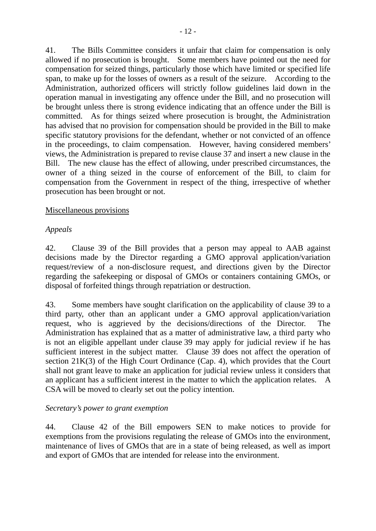41. The Bills Committee considers it unfair that claim for compensation is only allowed if no prosecution is brought. Some members have pointed out the need for compensation for seized things, particularly those which have limited or specified life span, to make up for the losses of owners as a result of the seizure. According to the Administration, authorized officers will strictly follow guidelines laid down in the operation manual in investigating any offence under the Bill, and no prosecution will be brought unless there is strong evidence indicating that an offence under the Bill is committed. As for things seized where prosecution is brought, the Administration has advised that no provision for compensation should be provided in the Bill to make specific statutory provisions for the defendant, whether or not convicted of an offence in the proceedings, to claim compensation. However, having considered members' views, the Administration is prepared to revise clause 37 and insert a new clause in the Bill. The new clause has the effect of allowing, under prescribed circumstances, the owner of a thing seized in the course of enforcement of the Bill, to claim for compensation from the Government in respect of the thing, irrespective of whether prosecution has been brought or not.

## Miscellaneous provisions

# *Appeals*

42. Clause 39 of the Bill provides that a person may appeal to AAB against decisions made by the Director regarding a GMO approval application/variation request/review of a non-disclosure request, and directions given by the Director regarding the safekeeping or disposal of GMOs or containers containing GMOs, or disposal of forfeited things through repatriation or destruction.

43. Some members have sought clarification on the applicability of clause 39 to a third party, other than an applicant under a GMO approval application/variation request, who is aggrieved by the decisions/directions of the Director. The Administration has explained that as a matter of administrative law, a third party who is not an eligible appellant under clause 39 may apply for judicial review if he has sufficient interest in the subject matter. Clause 39 does not affect the operation of section 21K(3) of the High Court Ordinance (Cap. 4), which provides that the Court shall not grant leave to make an application for judicial review unless it considers that an applicant has a sufficient interest in the matter to which the application relates. A CSA will be moved to clearly set out the policy intention.

#### *Secretary's power to grant exemption*

44. Clause 42 of the Bill empowers SEN to make notices to provide for exemptions from the provisions regulating the release of GMOs into the environment, maintenance of lives of GMOs that are in a state of being released, as well as import and export of GMOs that are intended for release into the environment.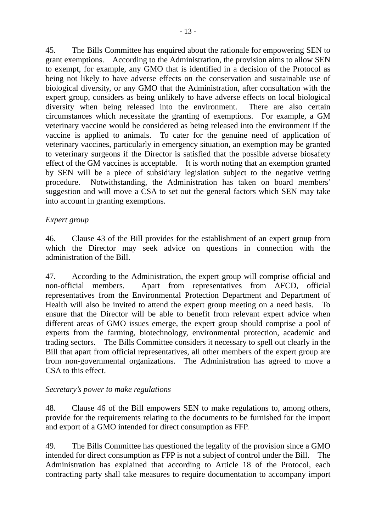45. The Bills Committee has enquired about the rationale for empowering SEN to grant exemptions. According to the Administration, the provision aims to allow SEN to exempt, for example, any GMO that is identified in a decision of the Protocol as being not likely to have adverse effects on the conservation and sustainable use of biological diversity, or any GMO that the Administration, after consultation with the expert group, considers as being unlikely to have adverse effects on local biological diversity when being released into the environment. There are also certain circumstances which necessitate the granting of exemptions. For example, a GM veterinary vaccine would be considered as being released into the environment if the vaccine is applied to animals. To cater for the genuine need of application of veterinary vaccines, particularly in emergency situation, an exemption may be granted to veterinary surgeons if the Director is satisfied that the possible adverse biosafety effect of the GM vaccines is acceptable. It is worth noting that an exemption granted by SEN will be a piece of subsidiary legislation subject to the negative vetting procedure. Notwithstanding, the Administration has taken on board members' suggestion and will move a CSA to set out the general factors which SEN may take into account in granting exemptions.

# *Expert group*

46. Clause 43 of the Bill provides for the establishment of an expert group from which the Director may seek advice on questions in connection with the administration of the Bill.

47. According to the Administration, the expert group will comprise official and non-official members. Apart from representatives from AFCD, official representatives from the Environmental Protection Department and Department of Health will also be invited to attend the expert group meeting on a need basis. To ensure that the Director will be able to benefit from relevant expert advice when different areas of GMO issues emerge, the expert group should comprise a pool of experts from the farming, biotechnology, environmental protection, academic and trading sectors. The Bills Committee considers it necessary to spell out clearly in the Bill that apart from official representatives, all other members of the expert group are from non-governmental organizations. The Administration has agreed to move a CSA to this effect.

# *Secretary's power to make regulations*

48. Clause 46 of the Bill empowers SEN to make regulations to, among others, provide for the requirements relating to the documents to be furnished for the import and export of a GMO intended for direct consumption as FFP.

49. The Bills Committee has questioned the legality of the provision since a GMO intended for direct consumption as FFP is not a subject of control under the Bill. The Administration has explained that according to Article 18 of the Protocol, each contracting party shall take measures to require documentation to accompany import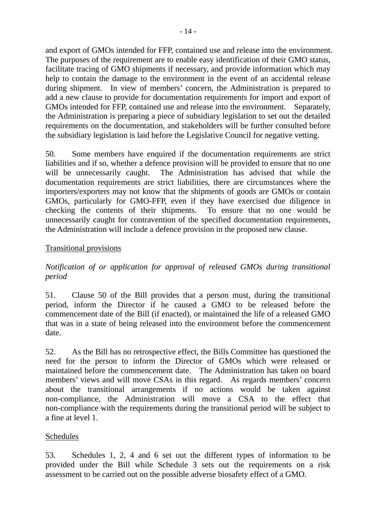and export of GMOs intended for FFP, contained use and release into the environment. The purposes of the requirement are to enable easy identification of their GMO status, facilitate tracing of GMO shipments if necessary, and provide information which may help to contain the damage to the environment in the event of an accidental release during shipment. In view of members' concern, the Administration is prepared to add a new clause to provide for documentation requirements for import and export of GMOs intended for FFP, contained use and release into the environment. Separately, the Administration is preparing a piece of subsidiary legislation to set out the detailed requirements on the documentation, and stakeholders will be further consulted before the subsidiary legislation is laid before the Legislative Council for negative vetting.

50. Some members have enquired if the documentation requirements are strict liabilities and if so, whether a defence provision will be provided to ensure that no one will be unnecessarily caught. The Administration has advised that while the documentation requirements are strict liabilities, there are circumstances where the importers/exporters may not know that the shipments of goods are GMOs or contain GMOs, particularly for GMO-FFP, even if they have exercised due diligence in checking the contents of their shipments. To ensure that no one would be unnecessarily caught for contravention of the specified documentation requirements, the Administration will include a defence provision in the proposed new clause.

# Transitional provisions

*Notification of or application for approval of released GMOs during transitional period* 

51. Clause 50 of the Bill provides that a person must, during the transitional period, inform the Director if he caused a GMO to be released before the commencement date of the Bill (if enacted), or maintained the life of a released GMO that was in a state of being released into the environment before the commencement date.

52. As the Bill has no retrospective effect, the Bills Committee has questioned the need for the person to inform the Director of GMOs which were released or maintained before the commencement date. The Administration has taken on board members' views and will move CSAs in this regard. As regards members' concern about the transitional arrangements if no actions would be taken against non-compliance, the Administration will move a CSA to the effect that non-compliance with the requirements during the transitional period will be subject to a fine at level 1.

#### Schedules

53. Schedules 1, 2, 4 and 6 set out the different types of information to be provided under the Bill while Schedule 3 sets out the requirements on a risk assessment to be carried out on the possible adverse biosafety effect of a GMO.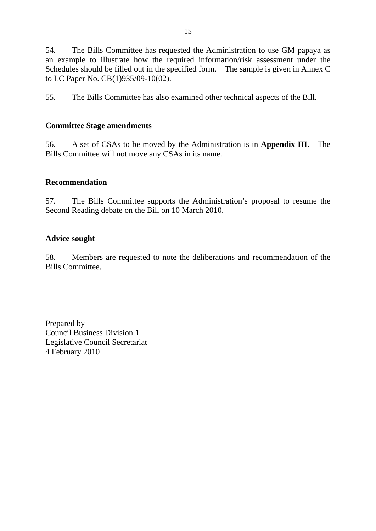54. The Bills Committee has requested the Administration to use GM papaya as an example to illustrate how the required information/risk assessment under the Schedules should be filled out in the specified form. The sample is given in Annex C to LC Paper No. CB(1)935/09-10(02).

55. The Bills Committee has also examined other technical aspects of the Bill.

# **Committee Stage amendments**

56. A set of CSAs to be moved by the Administration is in **Appendix III**. The Bills Committee will not move any CSAs in its name.

# **Recommendation**

57. The Bills Committee supports the Administration's proposal to resume the Second Reading debate on the Bill on 10 March 2010.

# **Advice sought**

58. Members are requested to note the deliberations and recommendation of the Bills Committee.

Prepared by Council Business Division 1 Legislative Council Secretariat 4 February 2010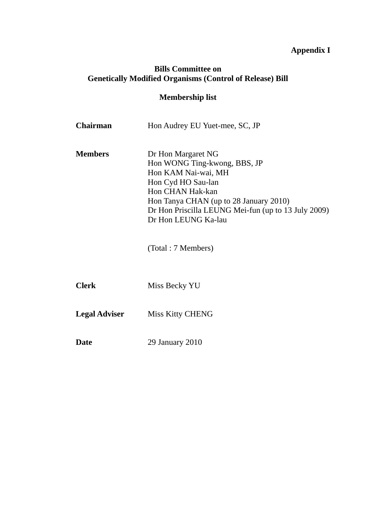# **Appendix I**

# **Bills Committee on Genetically Modified Organisms (Control of Release) Bill**

# **Membership list**

| Chairman             | Hon Audrey EU Yuet-mee, SC, JP                                                                                                                                                                                                              |
|----------------------|---------------------------------------------------------------------------------------------------------------------------------------------------------------------------------------------------------------------------------------------|
| <b>Members</b>       | Dr Hon Margaret NG<br>Hon WONG Ting-kwong, BBS, JP<br>Hon KAM Nai-wai, MH<br>Hon Cyd HO Sau-lan<br>Hon CHAN Hak-kan<br>Hon Tanya CHAN (up to 28 January 2010)<br>Dr Hon Priscilla LEUNG Mei-fun (up to 13 July 2009)<br>Dr Hon LEUNG Ka-lau |
|                      | (Total: 7 Members)                                                                                                                                                                                                                          |
| <b>Clerk</b>         | Miss Becky YU                                                                                                                                                                                                                               |
| <b>Legal Adviser</b> | <b>Miss Kitty CHENG</b>                                                                                                                                                                                                                     |
| <b>Date</b>          | 29 January 2010                                                                                                                                                                                                                             |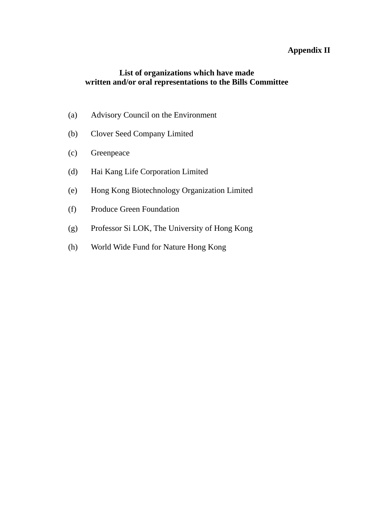# **Appendix II**

# **List of organizations which have made written and/or oral representations to the Bills Committee**

- (a) Advisory Council on the Environment
- (b) Clover Seed Company Limited
- (c) Greenpeace
- (d) Hai Kang Life Corporation Limited
- (e) Hong Kong Biotechnology Organization Limited
- (f) Produce Green Foundation
- (g) Professor Si LOK, The University of Hong Kong
- (h) World Wide Fund for Nature Hong Kong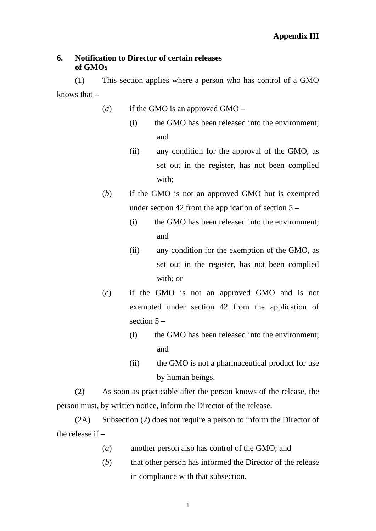### **6. Notification to Director of certain releases of GMOs**

(1) This section applies where a person who has control of a GMO knows that –

- (*a*) if the GMO is an approved GMO
	- (i) the GMO has been released into the environment; and
	- (ii) any condition for the approval of the GMO, as set out in the register, has not been complied with;
- (*b*) if the GMO is not an approved GMO but is exempted under section 42 from the application of section 5 –
	- (i) the GMO has been released into the environment; and
	- (ii) any condition for the exemption of the GMO, as set out in the register, has not been complied with; or
- (*c*) if the GMO is not an approved GMO and is not exempted under section 42 from the application of section  $5 -$ 
	- (i) the GMO has been released into the environment; and
	- (ii) the GMO is not a pharmaceutical product for use by human beings.

(2) As soon as practicable after the person knows of the release, the person must, by written notice, inform the Director of the release.

(2A) Subsection (2) does not require a person to inform the Director of the release if –

- (*a*) another person also has control of the GMO; and
- (*b*) that other person has informed the Director of the release in compliance with that subsection.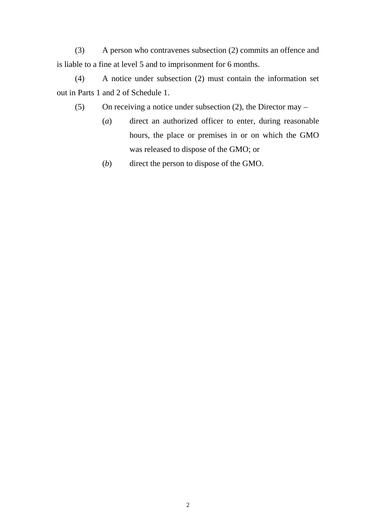(3) A person who contravenes subsection (2) commits an offence and is liable to a fine at level 5 and to imprisonment for 6 months.

(4) A notice under subsection (2) must contain the information set out in Parts 1 and 2 of Schedule 1.

(5) On receiving a notice under subsection (2), the Director may –

- (*a*) direct an authorized officer to enter, during reasonable hours, the place or premises in or on which the GMO was released to dispose of the GMO; or
- (*b*) direct the person to dispose of the GMO.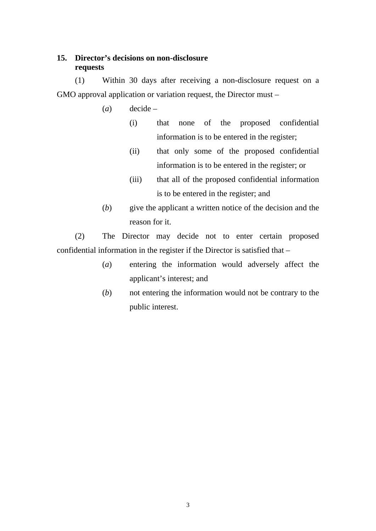# **15. Director's decisions on non-disclosure requests**

(1) Within 30 days after receiving a non-disclosure request on a GMO approval application or variation request, the Director must –

- (*a*) decide
	- (i) that none of the proposed confidential information is to be entered in the register;
	- (ii) that only some of the proposed confidential information is to be entered in the register; or
	- (iii) that all of the proposed confidential information is to be entered in the register; and
- (*b*) give the applicant a written notice of the decision and the reason for it.

(2) The Director may decide not to enter certain proposed confidential information in the register if the Director is satisfied that –

- (*a*) entering the information would adversely affect the applicant's interest; and
- (*b*) not entering the information would not be contrary to the public interest.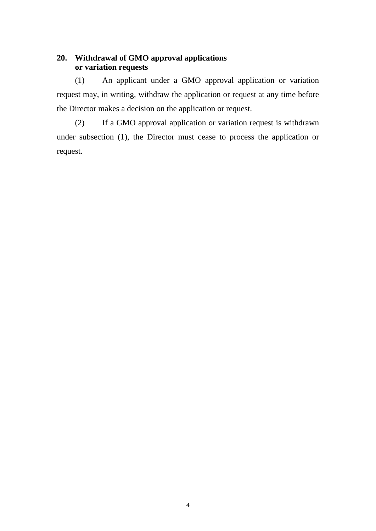# **20. Withdrawal of GMO approval applications or variation requests**

(1) An applicant under a GMO approval application or variation request may, in writing, withdraw the application or request at any time before the Director makes a decision on the application or request.

(2) If a GMO approval application or variation request is withdrawn under subsection (1), the Director must cease to process the application or request.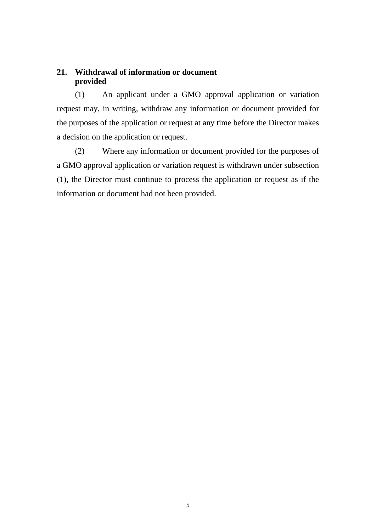# **21. Withdrawal of information or document provided**

(1) An applicant under a GMO approval application or variation request may, in writing, withdraw any information or document provided for the purposes of the application or request at any time before the Director makes a decision on the application or request.

(2) Where any information or document provided for the purposes of a GMO approval application or variation request is withdrawn under subsection (1), the Director must continue to process the application or request as if the information or document had not been provided.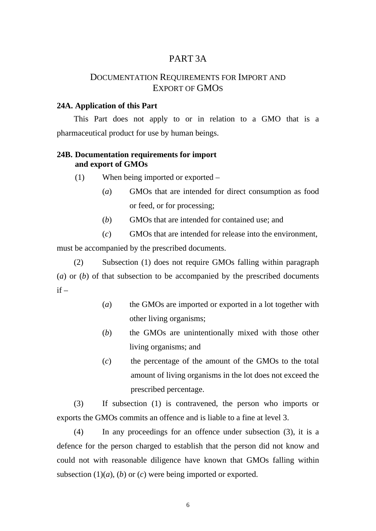# PART 3A

# DOCUMENTATION REQUIREMENTS FOR IMPORT AND EXPORT OF GMOS

#### **24A. Application of this Part**

This Part does not apply to or in relation to a GMO that is a pharmaceutical product for use by human beings.

#### **24B. Documentation requirements for import and export of GMOs**

- (1) When being imported or exported
	- (*a*) GMOs that are intended for direct consumption as food or feed, or for processing;
	- (*b*) GMOs that are intended for contained use; and
	- (*c*) GMOs that are intended for release into the environment,

must be accompanied by the prescribed documents.

(2) Subsection (1) does not require GMOs falling within paragraph (*a*) or (*b*) of that subsection to be accompanied by the prescribed documents  $if -$ 

- (*a*) the GMOs are imported or exported in a lot together with other living organisms;
- (*b*) the GMOs are unintentionally mixed with those other living organisms; and
- (*c*) the percentage of the amount of the GMOs to the total amount of living organisms in the lot does not exceed the prescribed percentage.

(3) If subsection (1) is contravened, the person who imports or exports the GMOs commits an offence and is liable to a fine at level 3.

(4) In any proceedings for an offence under subsection (3), it is a defence for the person charged to establish that the person did not know and could not with reasonable diligence have known that GMOs falling within subsection  $(1)(a)$ ,  $(b)$  or  $(c)$  were being imported or exported.

6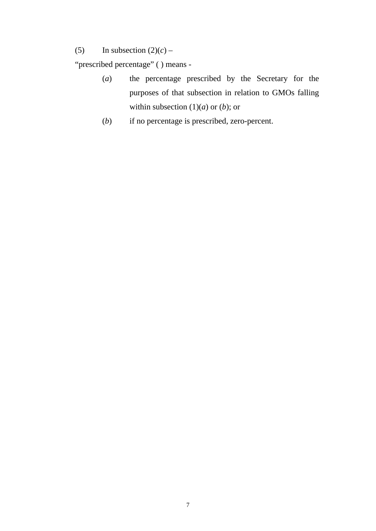(5) In subsection  $(2)(c)$  –

"prescribed percentage" ( ) means -

- (*a*) the percentage prescribed by the Secretary for the purposes of that subsection in relation to GMOs falling within subsection  $(1)(a)$  or  $(b)$ ; or
- (*b*) if no percentage is prescribed, zero-percent.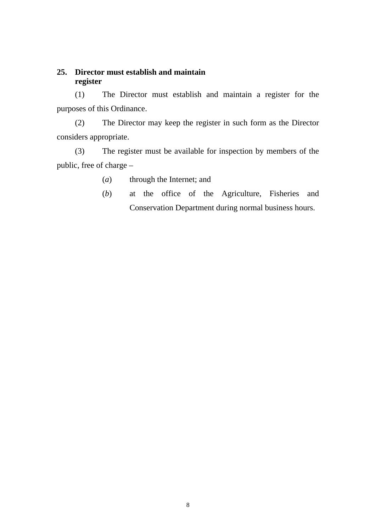### **25. Director must establish and maintain register**

(1) The Director must establish and maintain a register for the purposes of this Ordinance.

(2) The Director may keep the register in such form as the Director considers appropriate.

(3) The register must be available for inspection by members of the public, free of charge –

- (*a*) through the Internet; and
- (*b*) at the office of the Agriculture, Fisheries and Conservation Department during normal business hours.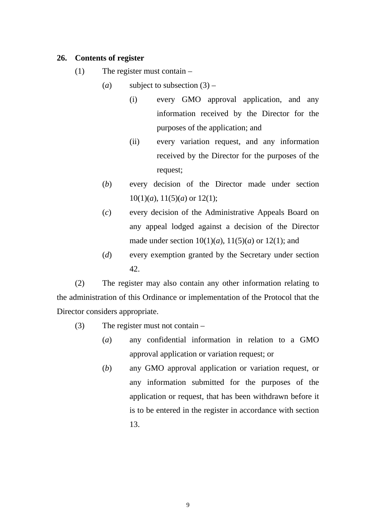## **26. Contents of register**

- (1) The register must contain
	- (*a*) subject to subsection  $(3)$ 
		- (i) every GMO approval application, and any information received by the Director for the purposes of the application; and
		- (ii) every variation request, and any information received by the Director for the purposes of the request;
	- (*b*) every decision of the Director made under section  $10(1)(a)$ ,  $11(5)(a)$  or  $12(1)$ ;
	- (*c*) every decision of the Administrative Appeals Board on any appeal lodged against a decision of the Director made under section  $10(1)(a)$ ,  $11(5)(a)$  or  $12(1)$ ; and
	- (*d*) every exemption granted by the Secretary under section 42.

(2) The register may also contain any other information relating to the administration of this Ordinance or implementation of the Protocol that the Director considers appropriate.

- (3) The register must not contain
	- (*a*) any confidential information in relation to a GMO approval application or variation request; or
	- (*b*) any GMO approval application or variation request, or any information submitted for the purposes of the application or request, that has been withdrawn before it is to be entered in the register in accordance with section 13.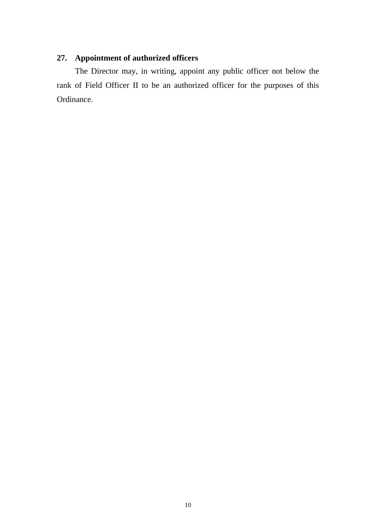# **27. Appointment of authorized officers**

The Director may, in writing, appoint any public officer not below the rank of Field Officer II to be an authorized officer for the purposes of this Ordinance.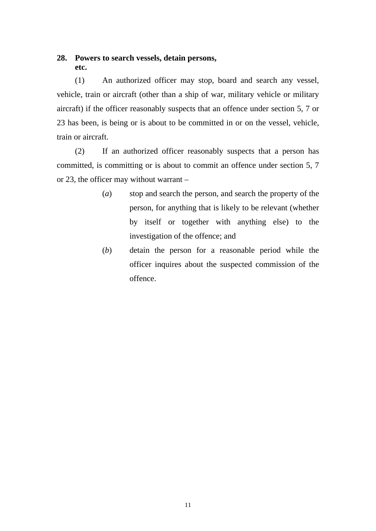# **28. Powers to search vessels, detain persons, etc.**

(1) An authorized officer may stop, board and search any vessel, vehicle, train or aircraft (other than a ship of war, military vehicle or military aircraft) if the officer reasonably suspects that an offence under section 5, 7 or 23 has been, is being or is about to be committed in or on the vessel, vehicle, train or aircraft.

(2) If an authorized officer reasonably suspects that a person has committed, is committing or is about to commit an offence under section 5, 7 or 23, the officer may without warrant –

- (*a*) stop and search the person, and search the property of the person, for anything that is likely to be relevant (whether by itself or together with anything else) to the investigation of the offence; and
- (*b*) detain the person for a reasonable period while the officer inquires about the suspected commission of the offence.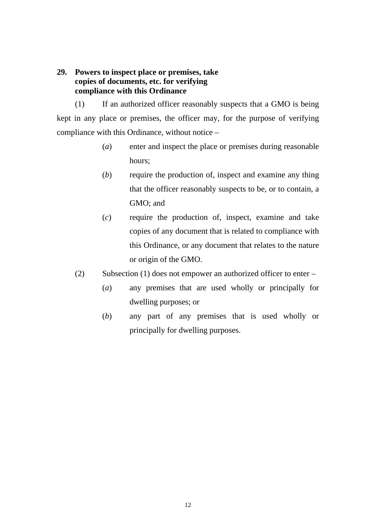# **29. Powers to inspect place or premises, take copies of documents, etc. for verifying compliance with this Ordinance**

(1) If an authorized officer reasonably suspects that a GMO is being kept in any place or premises, the officer may, for the purpose of verifying compliance with this Ordinance, without notice –

- (*a*) enter and inspect the place or premises during reasonable hours;
- (*b*) require the production of, inspect and examine any thing that the officer reasonably suspects to be, or to contain, a GMO; and
- (*c*) require the production of, inspect, examine and take copies of any document that is related to compliance with this Ordinance, or any document that relates to the nature or origin of the GMO.
- (2) Subsection (1) does not empower an authorized officer to enter
	- (*a*) any premises that are used wholly or principally for dwelling purposes; or
	- (*b*) any part of any premises that is used wholly or principally for dwelling purposes.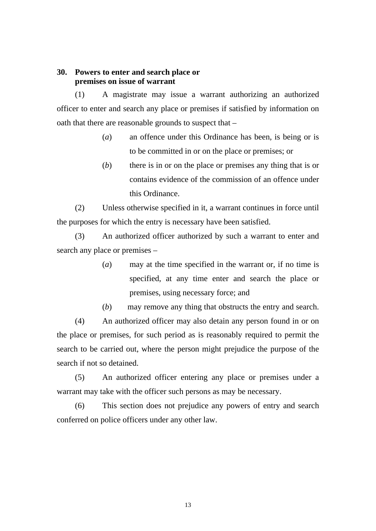#### **30. Powers to enter and search place or premises on issue of warrant**

(1) A magistrate may issue a warrant authorizing an authorized officer to enter and search any place or premises if satisfied by information on oath that there are reasonable grounds to suspect that –

- (*a*) an offence under this Ordinance has been, is being or is to be committed in or on the place or premises; or
- (*b*) there is in or on the place or premises any thing that is or contains evidence of the commission of an offence under this Ordinance.

(2) Unless otherwise specified in it, a warrant continues in force until the purposes for which the entry is necessary have been satisfied.

(3) An authorized officer authorized by such a warrant to enter and search any place or premises –

> (*a*) may at the time specified in the warrant or, if no time is specified, at any time enter and search the place or premises, using necessary force; and

> (*b*) may remove any thing that obstructs the entry and search.

(4) An authorized officer may also detain any person found in or on the place or premises, for such period as is reasonably required to permit the search to be carried out, where the person might prejudice the purpose of the search if not so detained.

(5) An authorized officer entering any place or premises under a warrant may take with the officer such persons as may be necessary.

(6) This section does not prejudice any powers of entry and search conferred on police officers under any other law.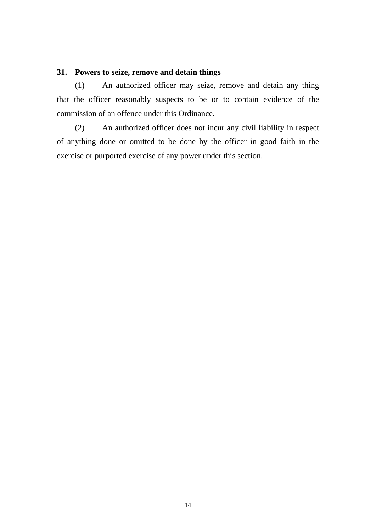# **31. Powers to seize, remove and detain things**

(1) An authorized officer may seize, remove and detain any thing that the officer reasonably suspects to be or to contain evidence of the commission of an offence under this Ordinance.

(2) An authorized officer does not incur any civil liability in respect of anything done or omitted to be done by the officer in good faith in the exercise or purported exercise of any power under this section.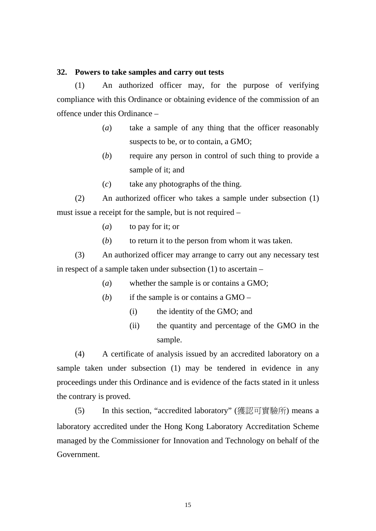#### **32. Powers to take samples and carry out tests**

(1) An authorized officer may, for the purpose of verifying compliance with this Ordinance or obtaining evidence of the commission of an offence under this Ordinance –

- (*a*) take a sample of any thing that the officer reasonably suspects to be, or to contain, a GMO;
- (*b*) require any person in control of such thing to provide a sample of it; and
- (*c*) take any photographs of the thing.

(2) An authorized officer who takes a sample under subsection (1) must issue a receipt for the sample, but is not required –

- (*a*) to pay for it; or
- (*b*) to return it to the person from whom it was taken.

(3) An authorized officer may arrange to carry out any necessary test in respect of a sample taken under subsection (1) to ascertain –

- (*a*) whether the sample is or contains a GMO;
- (*b*) if the sample is or contains a GMO
	- (i) the identity of the GMO; and
	- (ii) the quantity and percentage of the GMO in the sample.

(4) A certificate of analysis issued by an accredited laboratory on a sample taken under subsection (1) may be tendered in evidence in any proceedings under this Ordinance and is evidence of the facts stated in it unless the contrary is proved.

(5) In this section, "accredited laboratory" (獲認可實驗所) means a laboratory accredited under the Hong Kong Laboratory Accreditation Scheme managed by the Commissioner for Innovation and Technology on behalf of the Government.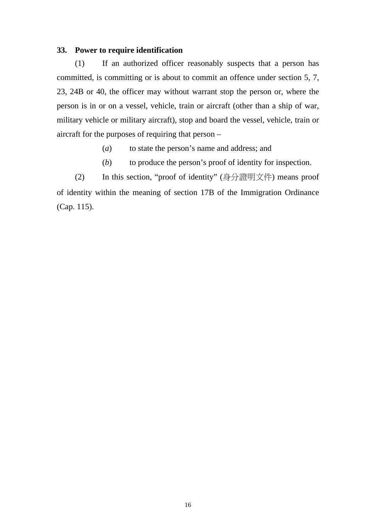#### **33. Power to require identification**

(1) If an authorized officer reasonably suspects that a person has committed, is committing or is about to commit an offence under section 5, 7, 23, 24B or 40, the officer may without warrant stop the person or, where the person is in or on a vessel, vehicle, train or aircraft (other than a ship of war, military vehicle or military aircraft), stop and board the vessel, vehicle, train or aircraft for the purposes of requiring that person –

- (*a*) to state the person's name and address; and
- (*b*) to produce the person's proof of identity for inspection.

(2) In this section, "proof of identity" (身分證明文件) means proof of identity within the meaning of section 17B of the Immigration Ordinance (Cap. 115).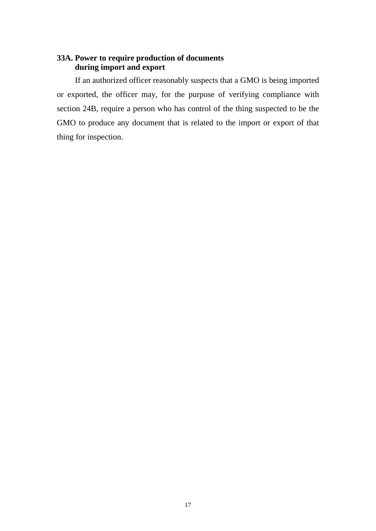# **33A. Power to require production of documents during import and export**

If an authorized officer reasonably suspects that a GMO is being imported or exported, the officer may, for the purpose of verifying compliance with section 24B, require a person who has control of the thing suspected to be the GMO to produce any document that is related to the import or export of that thing for inspection.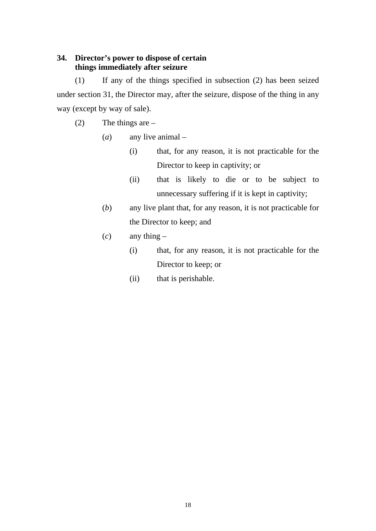# **34. Director's power to dispose of certain things immediately after seizure**

(1) If any of the things specified in subsection (2) has been seized under section 31, the Director may, after the seizure, dispose of the thing in any way (except by way of sale).

- (2) The things are
	- (*a*) any live animal
		- (i) that, for any reason, it is not practicable for the Director to keep in captivity; or
		- (ii) that is likely to die or to be subject to unnecessary suffering if it is kept in captivity;
	- (*b*) any live plant that, for any reason, it is not practicable for the Director to keep; and
	- $(c)$  any thing
		- (i) that, for any reason, it is not practicable for the Director to keep; or
		- (ii) that is perishable.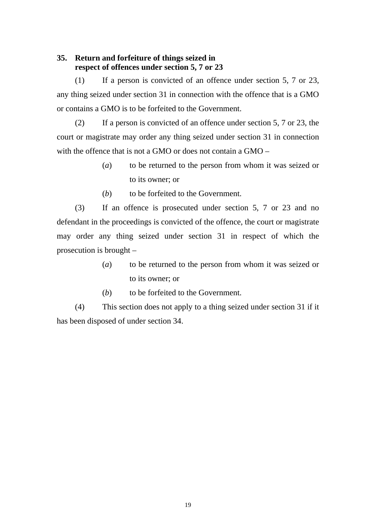# **35. Return and forfeiture of things seized in respect of offences under section 5, 7 or 23**

(1) If a person is convicted of an offence under section 5, 7 or 23, any thing seized under section 31 in connection with the offence that is a GMO or contains a GMO is to be forfeited to the Government.

(2) If a person is convicted of an offence under section 5, 7 or 23, the court or magistrate may order any thing seized under section 31 in connection with the offence that is not a GMO or does not contain a GMO –

- (*a*) to be returned to the person from whom it was seized or to its owner; or
- (*b*) to be forfeited to the Government.

(3) If an offence is prosecuted under section 5, 7 or 23 and no defendant in the proceedings is convicted of the offence, the court or magistrate may order any thing seized under section 31 in respect of which the prosecution is brought –

- (*a*) to be returned to the person from whom it was seized or to its owner; or
- (*b*) to be forfeited to the Government.

(4) This section does not apply to a thing seized under section 31 if it has been disposed of under section 34.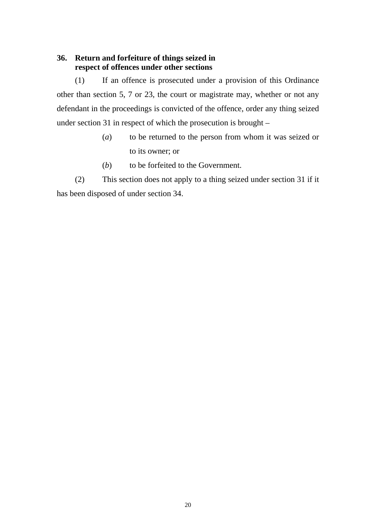# **36. Return and forfeiture of things seized in respect of offences under other sections**

(1) If an offence is prosecuted under a provision of this Ordinance other than section 5, 7 or 23, the court or magistrate may, whether or not any defendant in the proceedings is convicted of the offence, order any thing seized under section 31 in respect of which the prosecution is brought –

- (*a*) to be returned to the person from whom it was seized or to its owner; or
- (*b*) to be forfeited to the Government.

(2) This section does not apply to a thing seized under section 31 if it has been disposed of under section 34.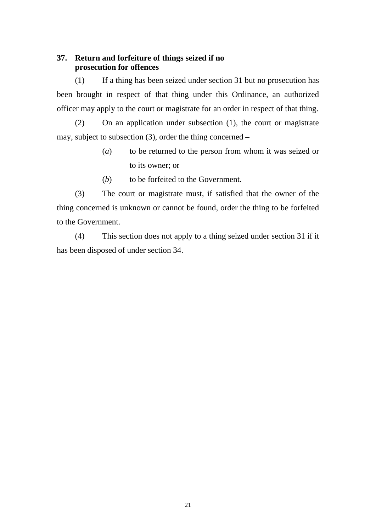# **37. Return and forfeiture of things seized if no prosecution for offences**

(1) If a thing has been seized under section 31 but no prosecution has been brought in respect of that thing under this Ordinance, an authorized officer may apply to the court or magistrate for an order in respect of that thing.

(2) On an application under subsection (1), the court or magistrate may, subject to subsection (3), order the thing concerned –

- (*a*) to be returned to the person from whom it was seized or to its owner; or
- (*b*) to be forfeited to the Government.

(3) The court or magistrate must, if satisfied that the owner of the thing concerned is unknown or cannot be found, order the thing to be forfeited to the Government.

(4) This section does not apply to a thing seized under section 31 if it has been disposed of under section 34.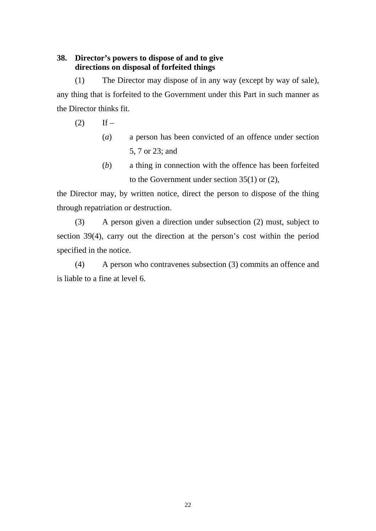# **38. Director's powers to dispose of and to give directions on disposal of forfeited things**

(1) The Director may dispose of in any way (except by way of sale), any thing that is forfeited to the Government under this Part in such manner as the Director thinks fit.

 $(2)$  If –

- (*a*) a person has been convicted of an offence under section 5, 7 or 23; and
- (*b*) a thing in connection with the offence has been forfeited to the Government under section 35(1) or (2),

the Director may, by written notice, direct the person to dispose of the thing through repatriation or destruction.

(3) A person given a direction under subsection (2) must, subject to section 39(4), carry out the direction at the person's cost within the period specified in the notice.

(4) A person who contravenes subsection (3) commits an offence and is liable to a fine at level 6.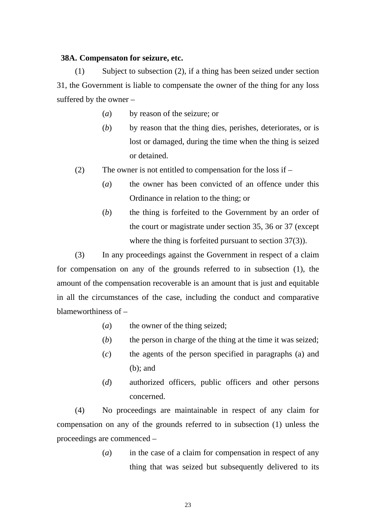#### **38A. Compensaton for seizure, etc.**

(1) Subject to subsection (2), if a thing has been seized under section 31, the Government is liable to compensate the owner of the thing for any loss suffered by the owner –

- (*a*) by reason of the seizure; or
- (*b*) by reason that the thing dies, perishes, deteriorates, or is lost or damaged, during the time when the thing is seized or detained.
- (2) The owner is not entitled to compensation for the loss if
	- (*a*) the owner has been convicted of an offence under this Ordinance in relation to the thing; or
	- (*b*) the thing is forfeited to the Government by an order of the court or magistrate under section 35, 36 or 37 (except where the thing is forfeited pursuant to section 37(3)).

(3) In any proceedings against the Government in respect of a claim for compensation on any of the grounds referred to in subsection (1), the amount of the compensation recoverable is an amount that is just and equitable in all the circumstances of the case, including the conduct and comparative blameworthiness of –

- (*a*) the owner of the thing seized;
- (*b*) the person in charge of the thing at the time it was seized;
- (*c*) the agents of the person specified in paragraphs (a) and (b); and
- (*d*) authorized officers, public officers and other persons concerned.

(4) No proceedings are maintainable in respect of any claim for compensation on any of the grounds referred to in subsection (1) unless the proceedings are commenced –

> (*a*) in the case of a claim for compensation in respect of any thing that was seized but subsequently delivered to its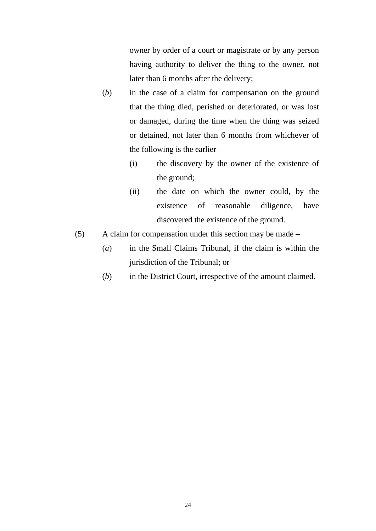owner by order of a court or magistrate or by any person having authority to deliver the thing to the owner, not later than 6 months after the delivery;

- (*b*) in the case of a claim for compensation on the ground that the thing died, perished or deteriorated, or was lost or damaged, during the time when the thing was seized or detained, not later than 6 months from whichever of the following is the earlier–
	- (i) the discovery by the owner of the existence of the ground;
	- (ii) the date on which the owner could, by the existence of reasonable diligence, have discovered the existence of the ground.
- (5) A claim for compensation under this section may be made
	- (*a*) in the Small Claims Tribunal, if the claim is within the jurisdiction of the Tribunal; or
	- (*b*) in the District Court, irrespective of the amount claimed.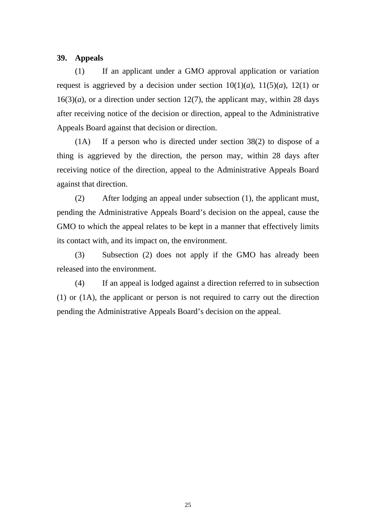#### **39. Appeals**

(1) If an applicant under a GMO approval application or variation request is aggrieved by a decision under section  $10(1)(a)$ ,  $11(5)(a)$ ,  $12(1)$  or  $16(3)(a)$ , or a direction under section 12(7), the applicant may, within 28 days after receiving notice of the decision or direction, appeal to the Administrative Appeals Board against that decision or direction.

(1A) If a person who is directed under section 38(2) to dispose of a thing is aggrieved by the direction, the person may, within 28 days after receiving notice of the direction, appeal to the Administrative Appeals Board against that direction.

(2) After lodging an appeal under subsection (1), the applicant must, pending the Administrative Appeals Board's decision on the appeal, cause the GMO to which the appeal relates to be kept in a manner that effectively limits its contact with, and its impact on, the environment.

(3) Subsection (2) does not apply if the GMO has already been released into the environment.

(4) If an appeal is lodged against a direction referred to in subsection (1) or (1A), the applicant or person is not required to carry out the direction pending the Administrative Appeals Board's decision on the appeal.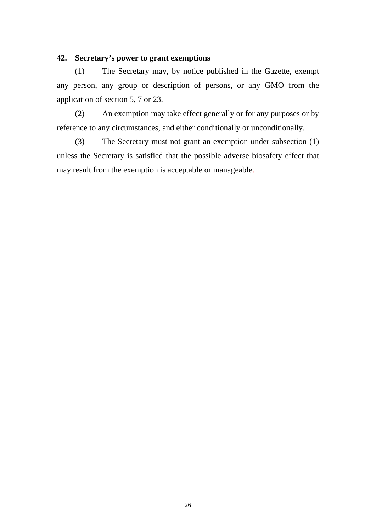# **42. Secretary's power to grant exemptions**

(1) The Secretary may, by notice published in the Gazette, exempt any person, any group or description of persons, or any GMO from the application of section 5, 7 or 23.

(2) An exemption may take effect generally or for any purposes or by reference to any circumstances, and either conditionally or unconditionally.

(3) The Secretary must not grant an exemption under subsection (1) unless the Secretary is satisfied that the possible adverse biosafety effect that may result from the exemption is acceptable or manageable.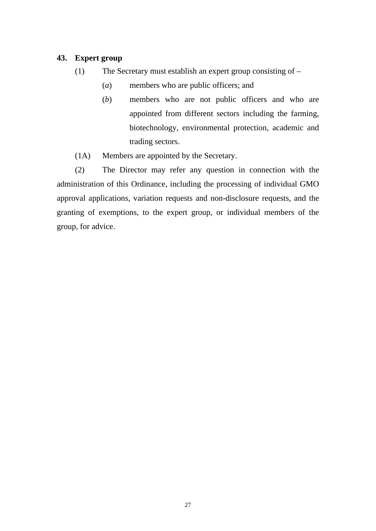# **43. Expert group**

- (1) The Secretary must establish an expert group consisting of
	- (*a*) members who are public officers; and
	- (*b*) members who are not public officers and who are appointed from different sectors including the farming, biotechnology, environmental protection, academic and trading sectors.
- (1A) Members are appointed by the Secretary.

(2) The Director may refer any question in connection with the administration of this Ordinance, including the processing of individual GMO approval applications, variation requests and non-disclosure requests, and the granting of exemptions, to the expert group, or individual members of the group, for advice.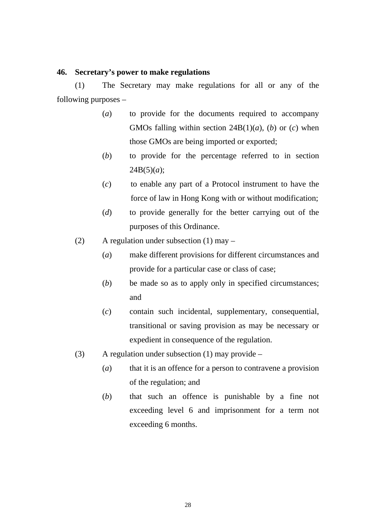#### **46. Secretary's power to make regulations**

(1) The Secretary may make regulations for all or any of the following purposes –

- (*a*) to provide for the documents required to accompany GMOs falling within section  $24B(1)(a)$ , (*b*) or (*c*) when those GMOs are being imported or exported;
- (*b*) to provide for the percentage referred to in section  $24B(5)(a)$ ;
- (*c*) to enable any part of a Protocol instrument to have the force of law in Hong Kong with or without modification;
- (*d*) to provide generally for the better carrying out of the purposes of this Ordinance.
- (2) A regulation under subsection (1) may
	- (*a*) make different provisions for different circumstances and provide for a particular case or class of case;
	- (*b*) be made so as to apply only in specified circumstances; and
	- (*c*) contain such incidental, supplementary, consequential, transitional or saving provision as may be necessary or expedient in consequence of the regulation.
- (3) A regulation under subsection  $(1)$  may provide
	- (*a*) that it is an offence for a person to contravene a provision of the regulation; and
	- (*b*) that such an offence is punishable by a fine not exceeding level 6 and imprisonment for a term not exceeding 6 months.